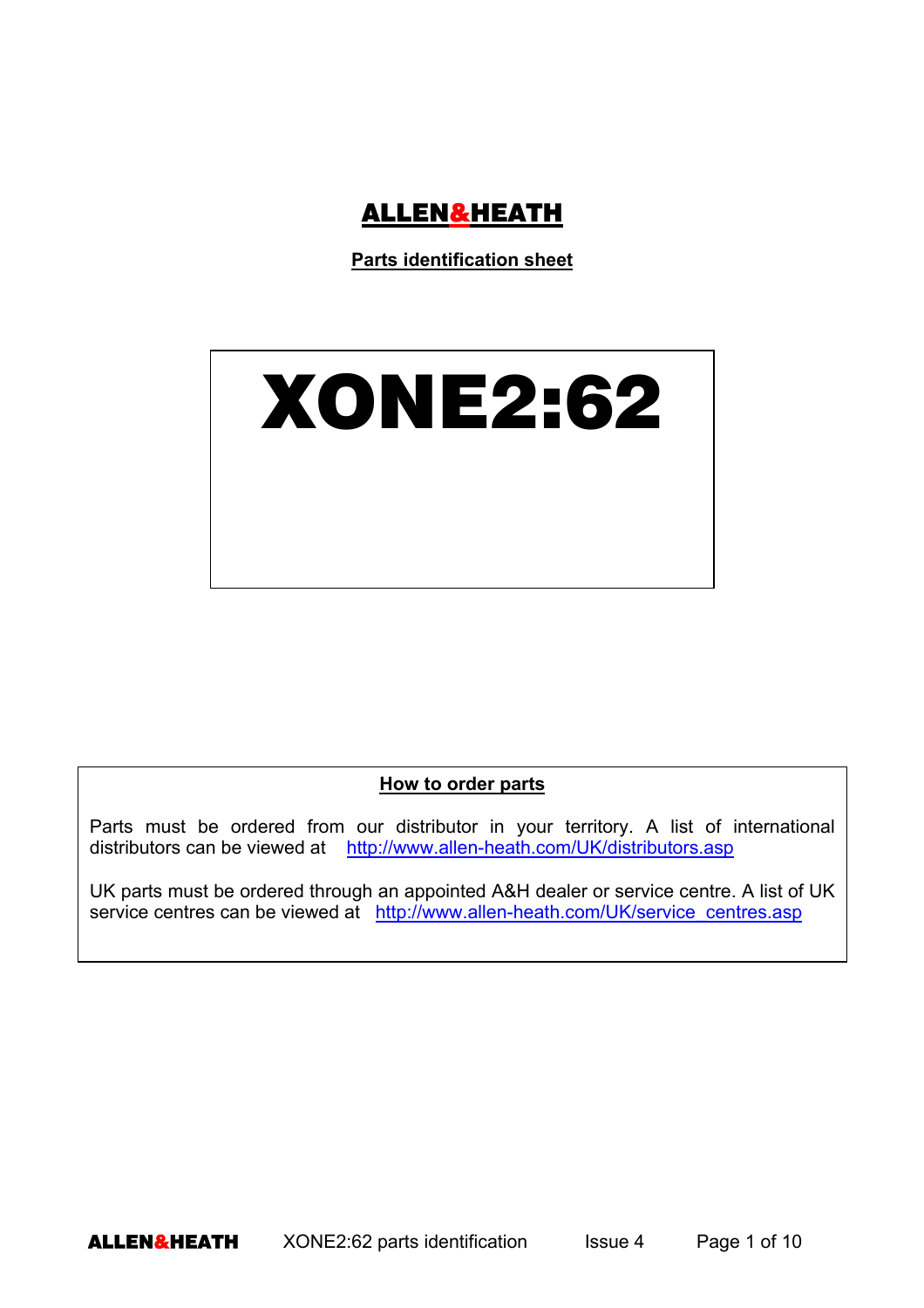

**Parts identification sheet**



**How to order parts**

Parts must be ordered from our distributor in your territory. A list of international distributors can be viewed at http://www.allen-heath.com/UK/distributors.asp

UK parts must be ordered through an appointed A&H dealer or service centre. A list of UK service centres can be viewed at http://www.allen-heath.com/UK/service\_centres.asp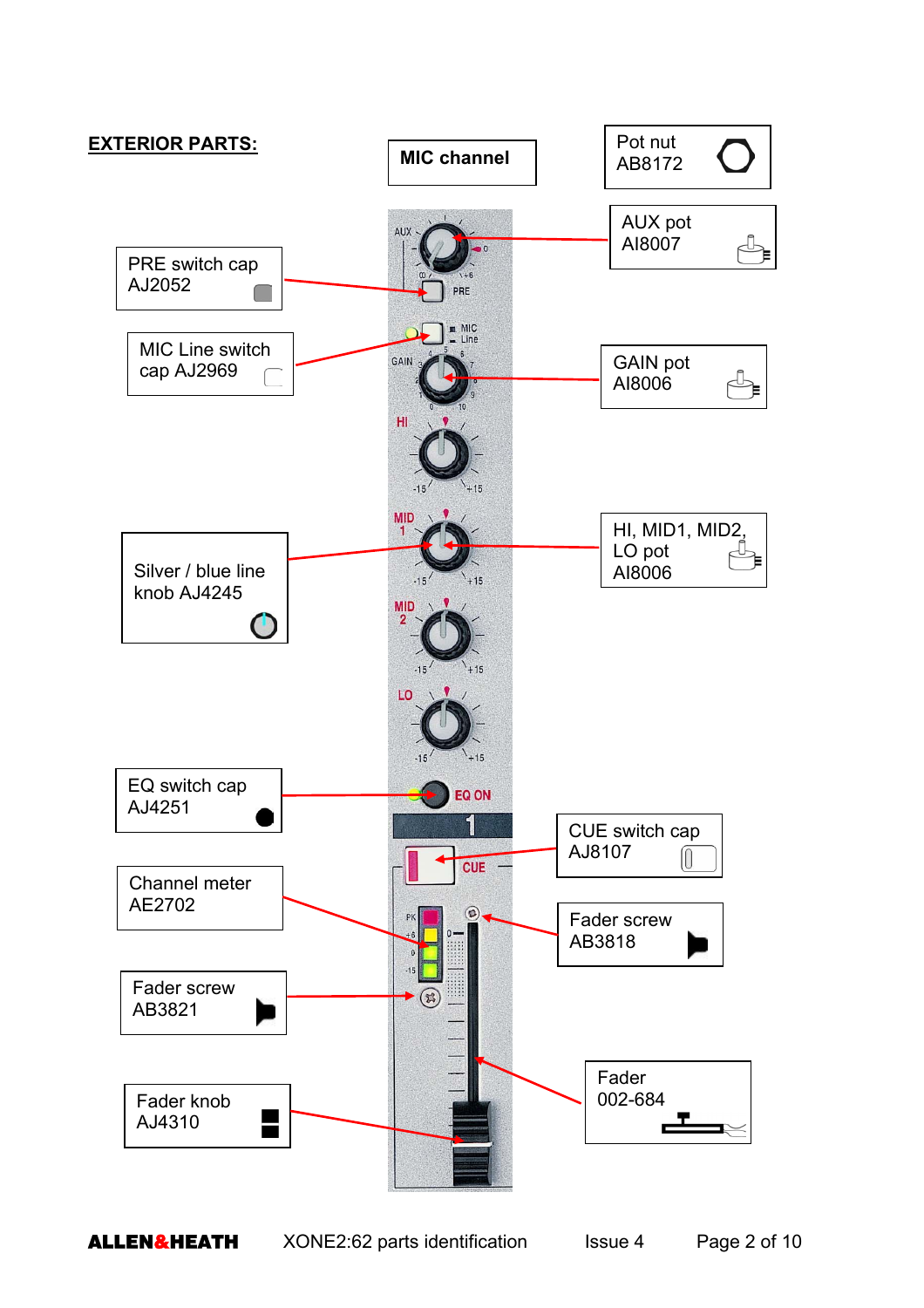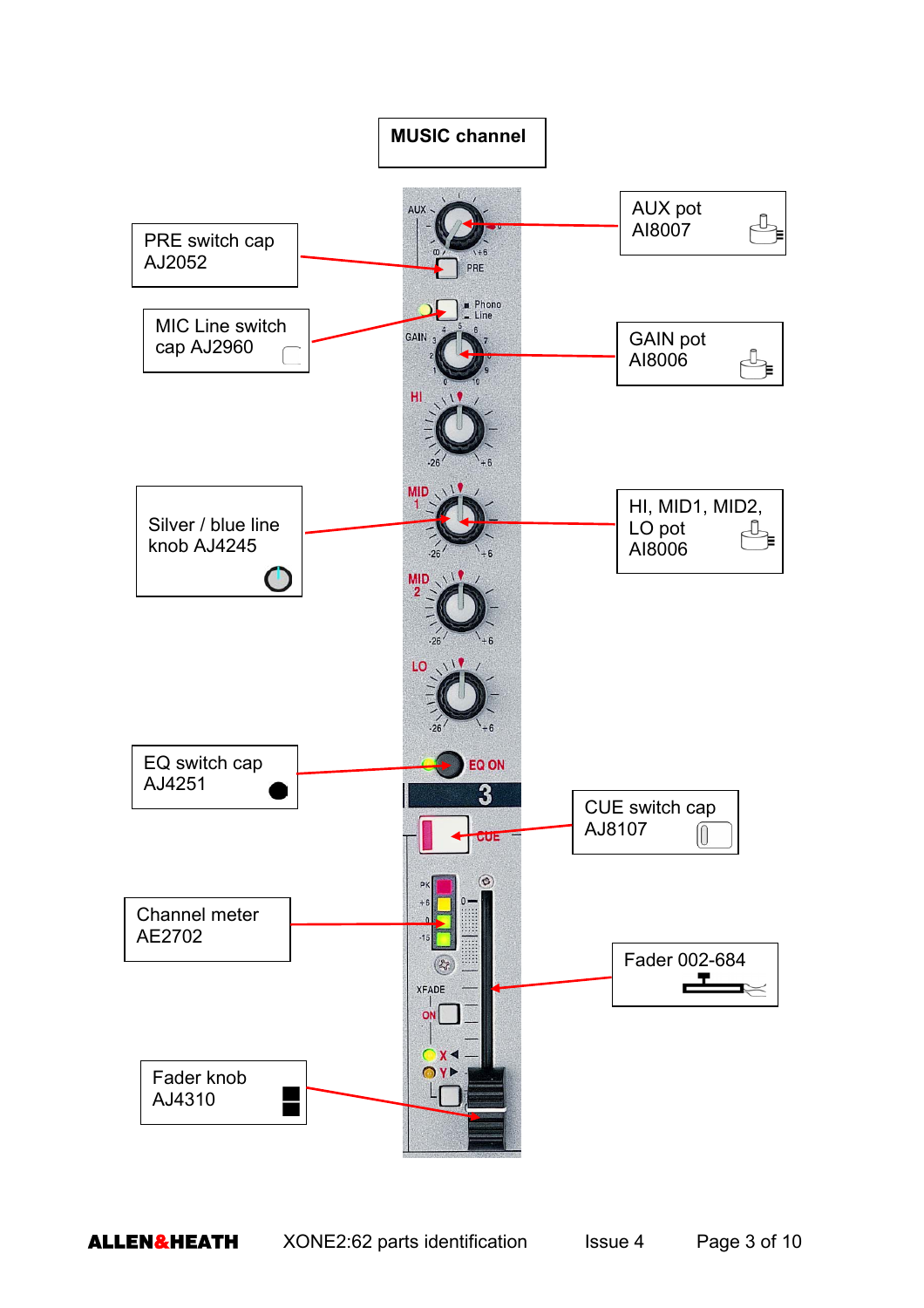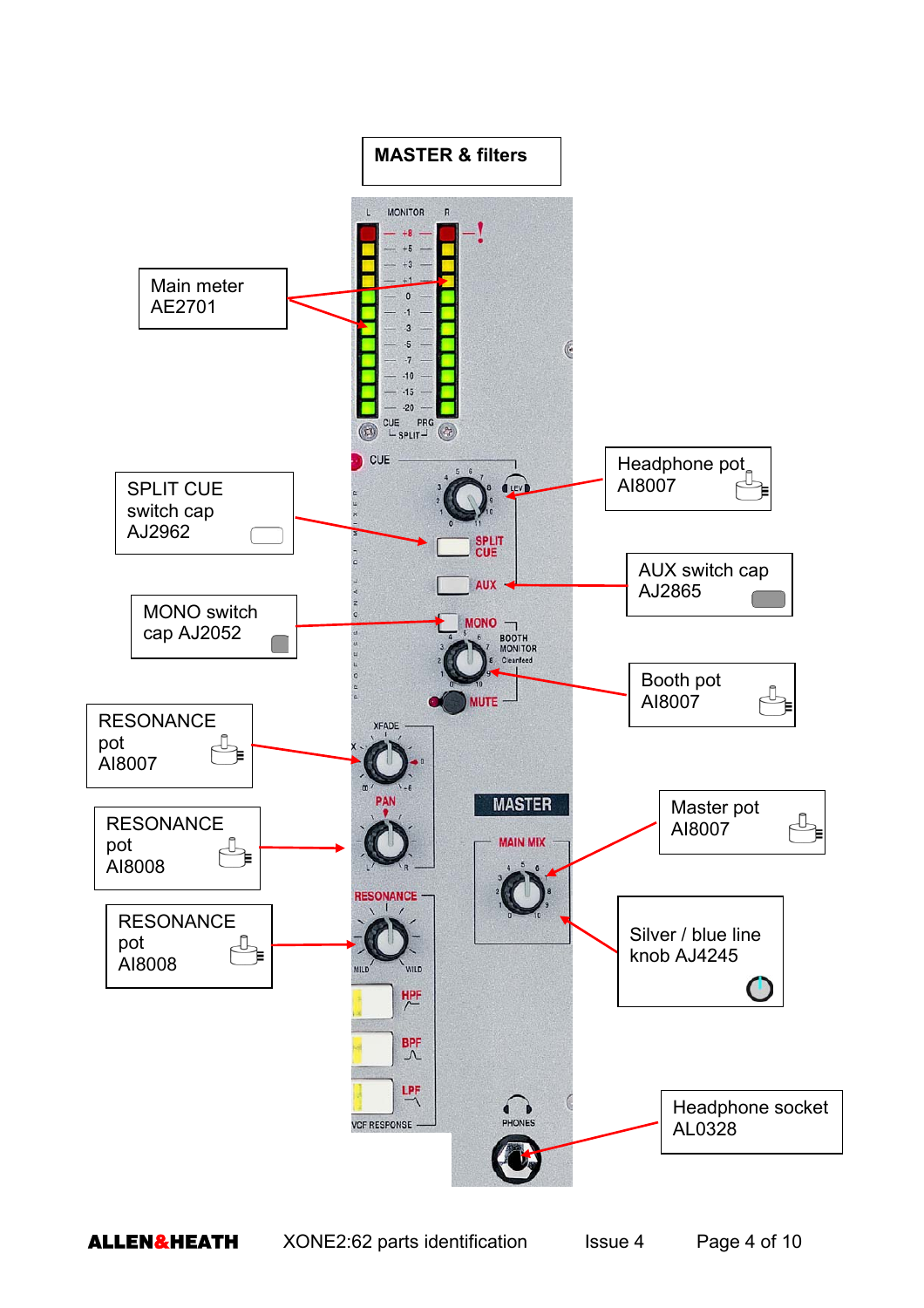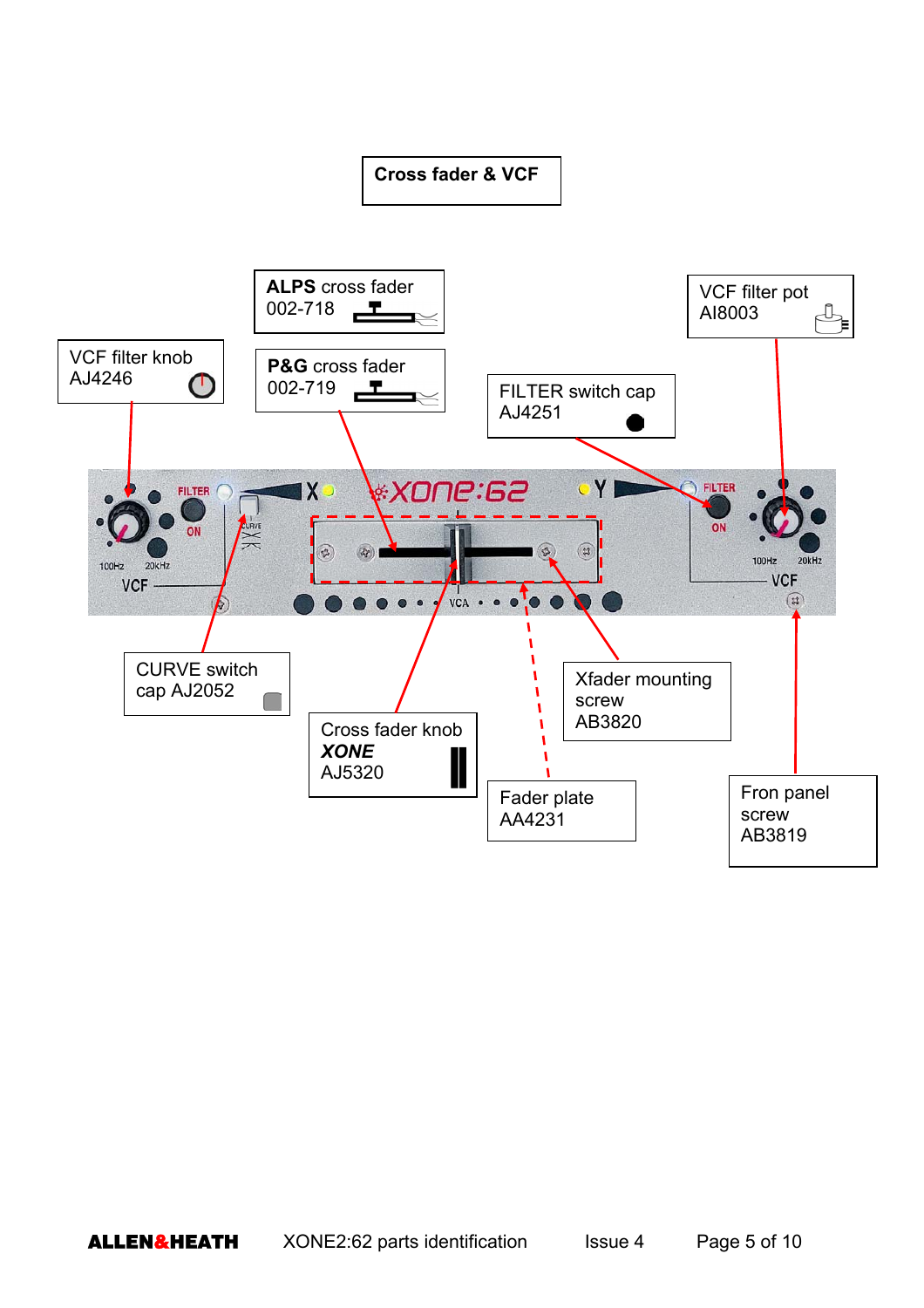## **Cross fader & VCF**

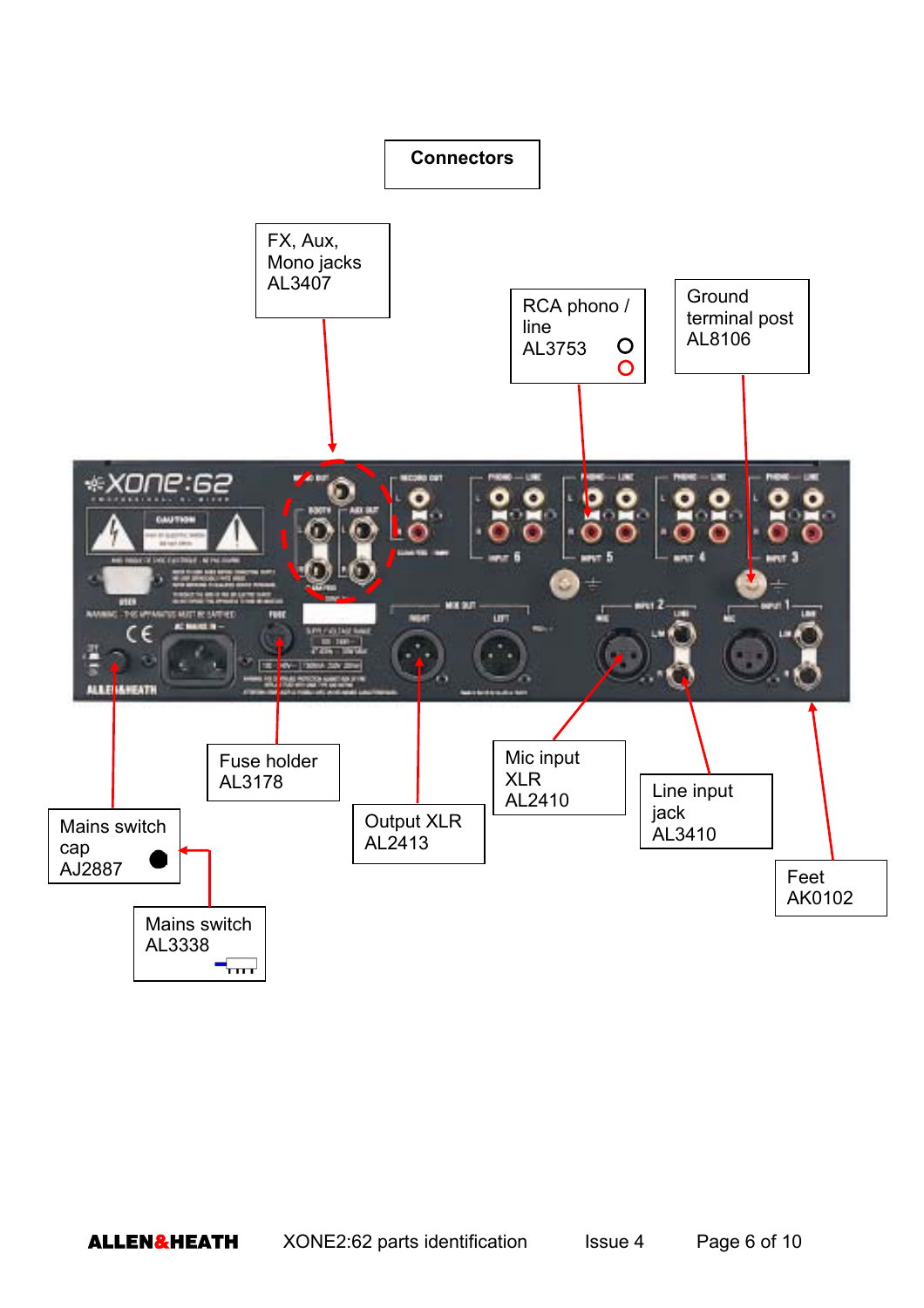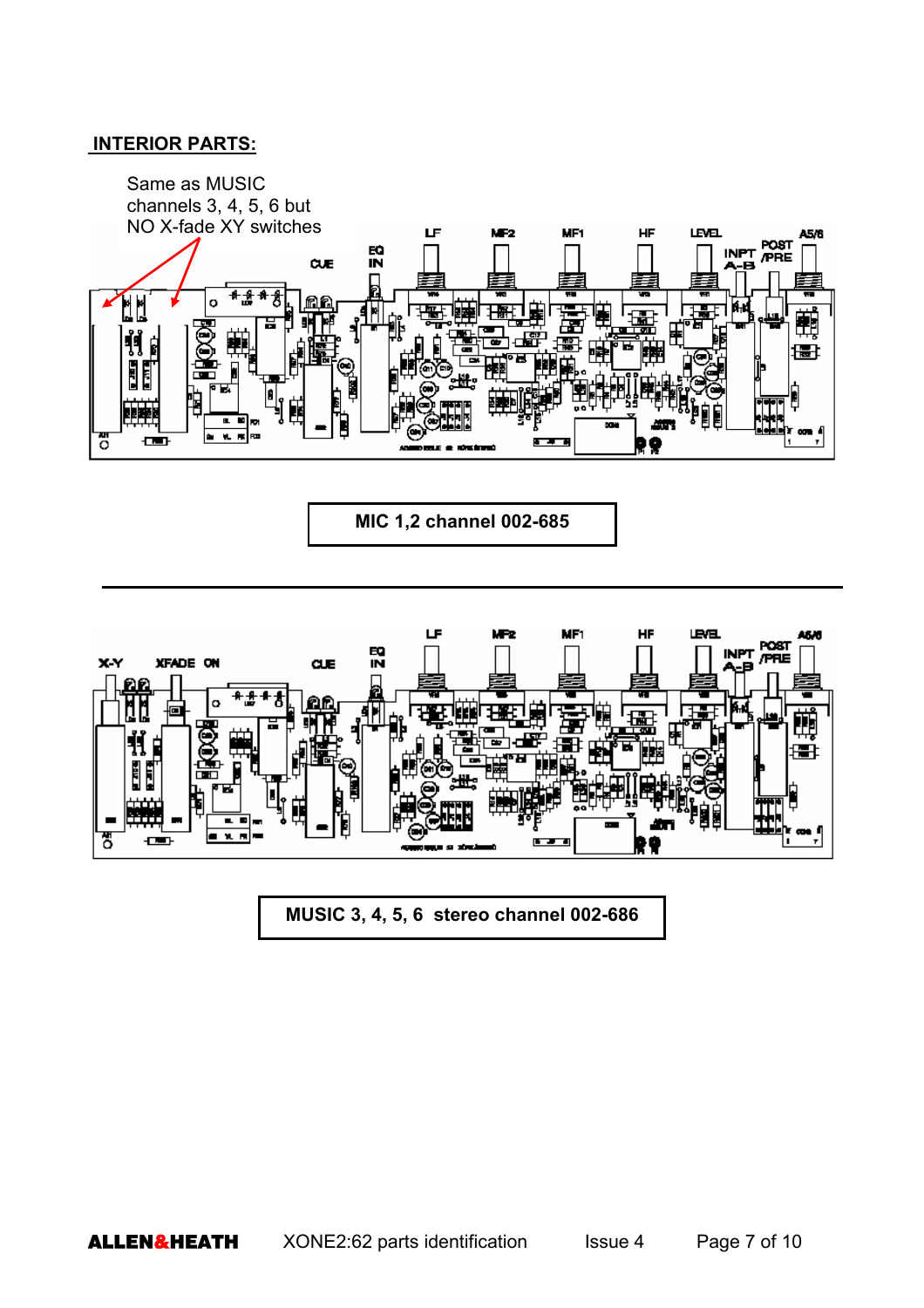## **INTERIOR PARTS:**



**MIC 1,2 channel 002-685** 



**MUSIC 3, 4, 5, 6 stereo channel 002-686**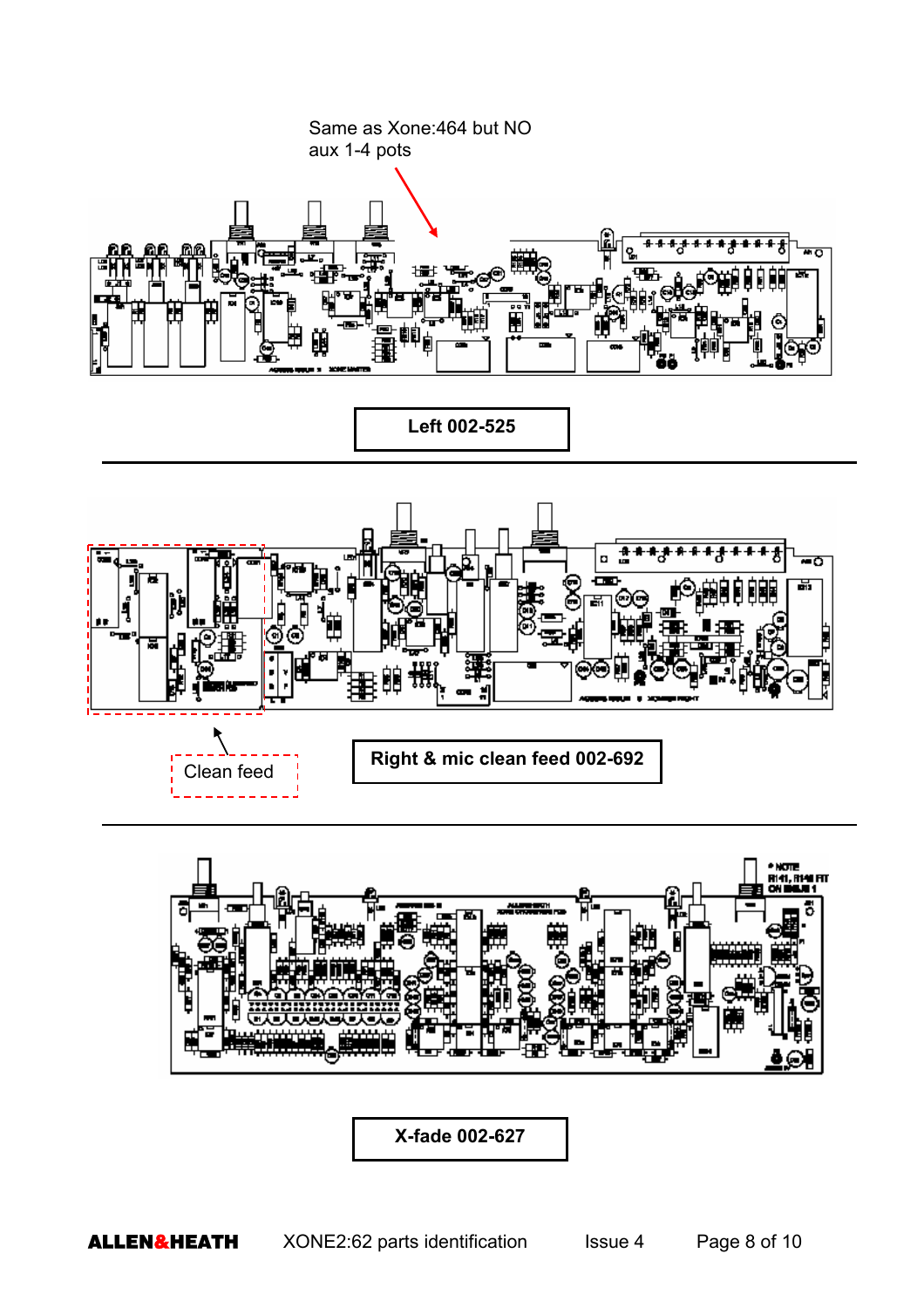



**X-fade 002-627**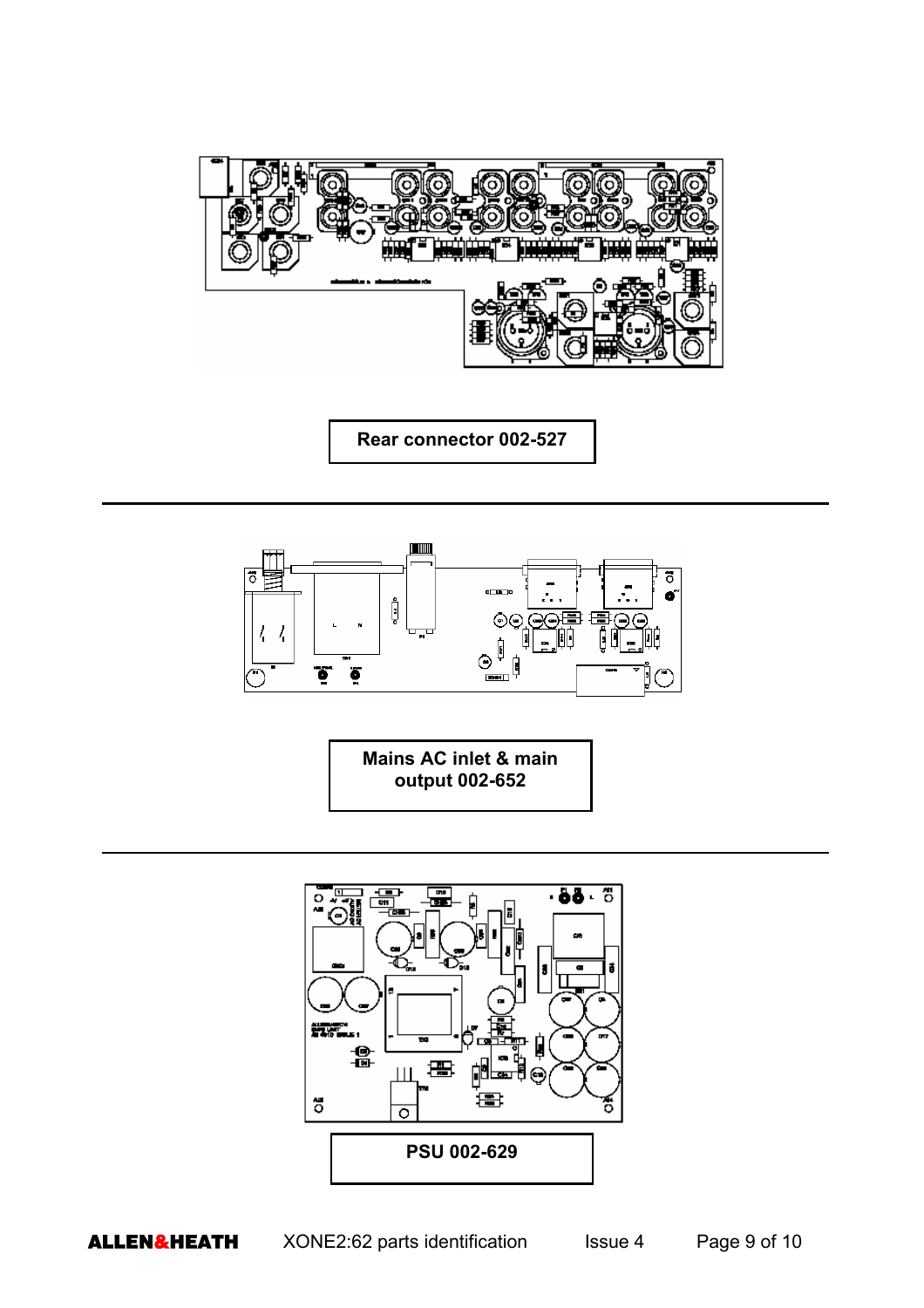

**Rear connector 002-527** 



**Mains AC inlet & main output 002-652**